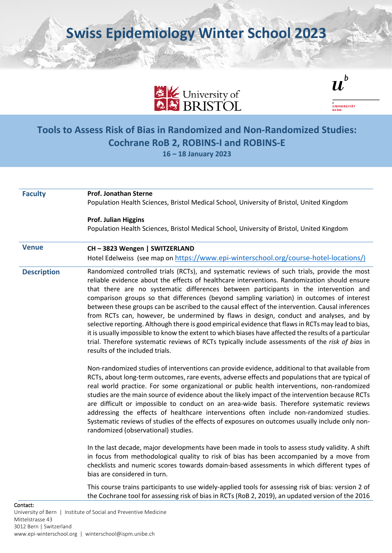**Swiss Epidemiology Winter School 2023**



 $\boldsymbol{u}^{\textit{b}}$ 

UNIVERSITÄT

## **Tools to Assess Risk of Bias in Randomized and Non-Randomized Studies: Cochrane RoB 2, ROBINS-I and ROBINS-E 16 – 18 January 2023**

Contact: University of Bern | Institute of Social and Preventive Medicine **Faculty Prof. Jonathan Sterne** Population Health Sciences, Bristol Medical School, University of Bristol, United Kingdom **Prof. Julian Higgins** Population Health Sciences, Bristol Medical School, University of Bristol, United Kingdom **Venue CH – 3823 Wengen | SWITZERLAND** Hotel Edelweiss (see map o[n https://www.epi-winterschool.org/course-hotel-locations/\)](https://www.epi-winterschool.org/course-hotel-locations/)) **Description** Randomized controlled trials (RCTs), and systematic reviews of such trials, provide the most reliable evidence about the effects of healthcare interventions. Randomization should ensure that there are no systematic differences between participants in the intervention and comparison groups so that differences (beyond sampling variation) in outcomes of interest between these groups can be ascribed to the causal effect of the intervention. Causal inferences from RCTs can, however, be undermined by flaws in design, conduct and analyses, and by selective reporting. Although there is good empirical evidence that flaws in RCTs may lead to bias, it is usually impossible to know the extent to which biases have affected the results of a particular trial. Therefore systematic reviews of RCTs typically include assessments of the *risk of bias* in results of the included trials. Non-randomized studies of interventions can provide evidence, additional to that available from RCTs, about long-term outcomes, rare events, adverse effects and populations that are typical of real world practice. For some organizational or public health interventions, non-randomized studies are the main source of evidence about the likely impact of the intervention because RCTs are difficult or impossible to conduct on an area-wide basis. Therefore systematic reviews addressing the effects of healthcare interventions often include non-randomized studies. Systematic reviews of studies of the effects of exposures on outcomes usually include only nonrandomized (observational) studies. In the last decade, major developments have been made in tools to assess study validity. A shift in focus from methodological quality to risk of bias has been accompanied by a move from checklists and numeric scores towards domain-based assessments in which different types of bias are considered in turn. This course trains participants to use widely-applied tools for assessing risk of bias: version 2 of the Cochrane tool for assessing risk of bias in RCTs (RoB 2, 2019), an updated version of the 2016